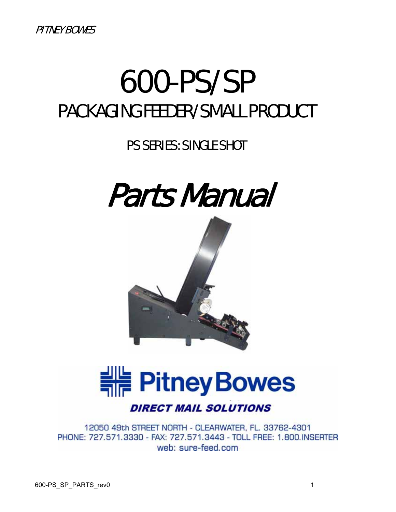# 600-PS/SP PACKAGING FEEDER/SMALL PRODUCT

PS SERIES: SINGLE SHOT







**DIRECT MAIL SOLUTIONS** 

12050 49th STREET NORTH - CLEARWATER, FL. 33762-4301 PHONE: 727.571.3330 - FAX: 727.571.3443 - TOLL FREE: 1.800.INSERTER web: sure-feed.com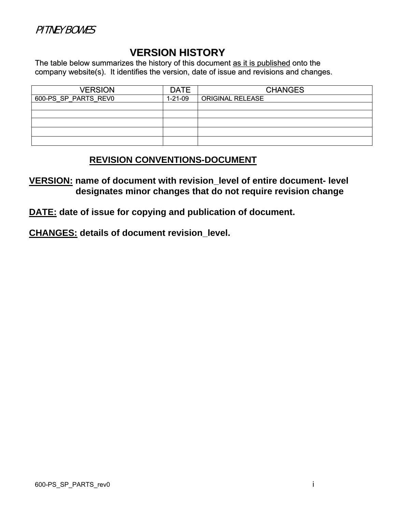#### PITNEY BOWES

#### **VERSION HISTORY**

The table below summarizes the history of this document as it is published onto the company website(s). It identifies the version, date of issue and revisions and changes.

| <b>VERSION</b>       | <b>DATE</b>   | <b>CHANGES</b>          |
|----------------------|---------------|-------------------------|
| 600-PS SP PARTS REVO | $1 - 21 - 09$ | <b>ORIGINAL RELEASE</b> |
|                      |               |                         |
|                      |               |                         |
|                      |               |                         |
|                      |               |                         |
|                      |               |                         |

#### **REVISION CONVENTIONS-DOCUMENT**

**VERSION: name of document with revision\_level of entire document- level designates minor changes that do not require revision change** 

**DATE: date of issue for copying and publication of document.** 

**CHANGES: details of document revision\_level.**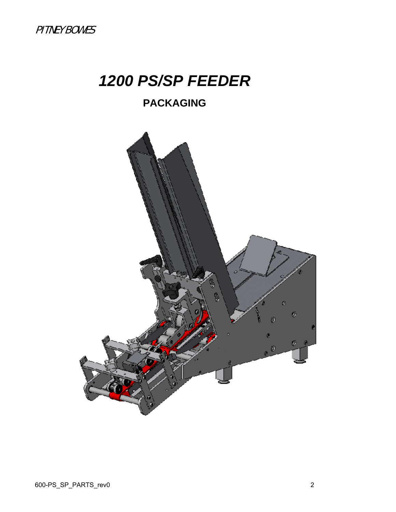# *1200 PS/SP FEEDER*

## **PACKAGING**

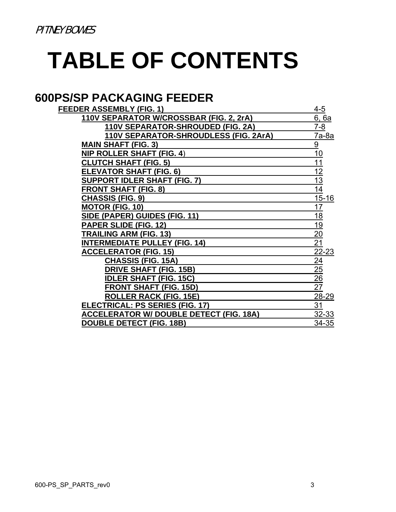# **TABLE OF CONTENTS**

## **600PS/SP PACKAGING FEEDER**

| <b>FEEDER ASSEMBLY (FIG. 1)</b>                | $4 - 5$         |
|------------------------------------------------|-----------------|
| 110V SEPARATOR W/CROSSBAR (FIG. 2, 2rA)        | 6, 6a           |
| 110V SEPARATOR-SHROUDED (FIG. 2A)              | $7 - 8$         |
| 110V SEPARATOR-SHROUDLESS (FIG. 2ArA)          | 7a-8a           |
| <b>MAIN SHAFT (FIG. 3)</b>                     | $\overline{9}$  |
| <b>NIP ROLLER SHAFT (FIG. 4)</b>               | 10              |
| <b>CLUTCH SHAFT (FIG. 5)</b>                   | 11              |
| <b>ELEVATOR SHAFT (FIG. 6)</b>                 | 12              |
| <b>SUPPORT IDLER SHAFT (FIG. 7)</b>            | $\overline{13}$ |
| <b>FRONT SHAFT (FIG. 8)</b>                    | 14              |
| <b>CHASSIS (FIG. 9)</b>                        | $15 - 16$       |
| <b>MOTOR (FIG. 10)</b>                         | 17              |
| SIDE (PAPER) GUIDES (FIG. 11)                  | 18              |
| <b>PAPER SLIDE (FIG. 12)</b>                   | <u> 19</u>      |
| <b>TRAILING ARM (FIG. 13)</b>                  | 20              |
| <b>INTERMEDIATE PULLEY (FIG. 14)</b>           | 21              |
| <b>ACCELERATOR (FIG. 15)</b>                   | 22-23           |
| <b>CHASSIS (FIG. 15A)</b>                      | $\overline{24}$ |
| <b>DRIVE SHAFT (FIG. 15B)</b>                  | $\overline{25}$ |
| <b>IDLER SHAFT (FIG. 15C)</b>                  | $\overline{26}$ |
| <b>FRONT SHAFT (FIG. 15D)</b>                  | 27              |
| <b>ROLLER RACK (FIG. 15E)</b>                  | 28-29           |
| <b>ELECTRICAL: PS SERIES (FIG. 17)</b>         | 31              |
| <b>ACCELERATOR W/ DOUBLE DETECT (FIG. 18A)</b> | $32 - 33$       |
| <b>DOUBLE DETECT (FIG. 18B)</b>                | 34-35           |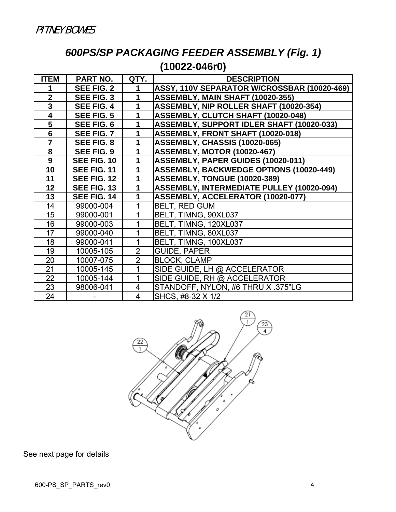## *600PS/SP PACKAGING FEEDER ASSEMBLY (Fig. 1)*  **(10022-046r0)**

| <b>ITEM</b>             | <b>PART NO.</b>   | QTY.           | <b>DESCRIPTION</b>                               |
|-------------------------|-------------------|----------------|--------------------------------------------------|
|                         | <b>SEE FIG. 2</b> | 1              | ASSY, 110V SEPARATOR W/CROSSBAR (10020-469)      |
| $\mathbf{2}$            | <b>SEE FIG. 3</b> | 1              | ASSEMBLY, MAIN SHAFT (10020-355)                 |
| 3                       | <b>SEE FIG. 4</b> | 1              | ASSEMBLY, NIP ROLLER SHAFT (10020-354)           |
| $\overline{\mathbf{4}}$ | <b>SEE FIG. 5</b> | 1              | ASSEMBLY, CLUTCH SHAFT (10020-048)               |
| 5                       | SEE FIG. 6        | 1              | <b>ASSEMBLY, SUPPORT IDLER SHAFT (10020-033)</b> |
| $6\phantom{1}$          | SEE FIG. 7        | 1              | ASSEMBLY, FRONT SHAFT (10020-018)                |
| $\overline{7}$          | <b>SEE FIG. 8</b> | 1              | ASSEMBLY, CHASSIS (10020-065)                    |
| 8                       | <b>SEE FIG. 9</b> | 1              | <b>ASSEMBLY, MOTOR (10020-467)</b>               |
| 9                       | SEE FIG. 10       | 1              | ASSEMBLY, PAPER GUIDES (10020-011)               |
| 10                      | SEE FIG. 11       | 1              | <b>ASSEMBLY, BACKWEDGE OPTIONS (10020-449)</b>   |
| 11                      | SEE FIG. 12       | 1              | ASSEMBLY, TONGUE (10020-389)                     |
| 12                      | SEE FIG. 13       | 1              | <b>ASSEMBLY, INTERMEDIATE PULLEY (10020-094)</b> |
| 13                      | SEE FIG. 14       | 1              | ASSEMBLY, ACCELERATOR (10020-077)                |
| 14                      | 99000-004         |                | <b>BELT, RED GUM</b>                             |
| 15                      | 99000-001         |                | BELT, TIMNG, 90XL037                             |
| 16                      | 99000-003         |                | BELT, TIMNG, 120XL037                            |
| 17                      | 99000-040         |                | BELT, TIMNG, 80XL037                             |
| 18                      | 99000-041         | 1              | BELT, TIMNG, 100XL037                            |
| 19                      | 10005-105         | $\overline{2}$ | <b>GUIDE, PAPER</b>                              |
| 20                      | 10007-075         | $\overline{2}$ | <b>BLOCK, CLAMP</b>                              |
| 21                      | 10005-145         | 1              | SIDE GUIDE, LH @ ACCELERATOR                     |
| 22                      | 10005-144         | 1              | SIDE GUIDE, RH @ ACCELERATOR                     |
| 23                      | 98006-041         | 4              | STANDOFF, NYLON, #6 THRU X .375"LG               |
| 24                      |                   | $\overline{4}$ | SHCS, #8-32 X 1/2                                |

 $\frac{21}{1}$  $\frac{23}{4}$  $\frac{22}{1}$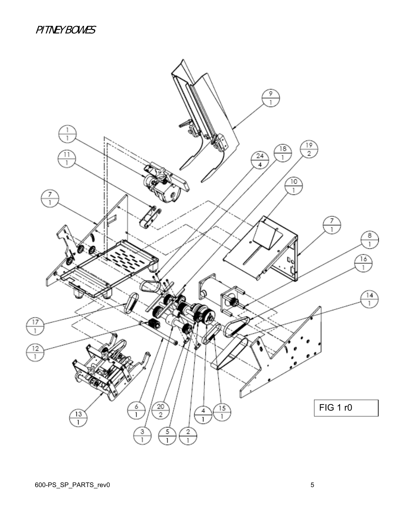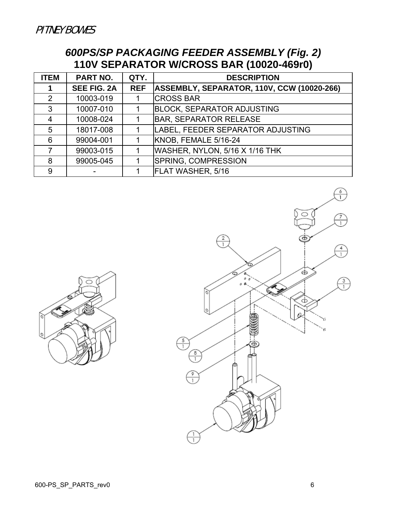PITNEY BOWES

#### *600PS/SP PACKAGING FEEDER ASSEMBLY (Fig. 2)*  **110V SEPARATOR W/CROSS BAR (10020-469r0)**

| <b>ITEM</b> | <b>PART NO.</b>    | QTY.       | <b>DESCRIPTION</b>                                |
|-------------|--------------------|------------|---------------------------------------------------|
|             | <b>SEE FIG. 2A</b> | <b>REF</b> | <b>ASSEMBLY, SEPARATOR, 110V, CCW (10020-266)</b> |
| 2           | 10003-019          |            | <b>CROSS BAR</b>                                  |
| 3           | 10007-010          |            | <b>BLOCK, SEPARATOR ADJUSTING</b>                 |
| 4           | 10008-024          |            | <b>BAR, SEPARATOR RELEASE</b>                     |
| 5           | 18017-008          |            | LABEL, FEEDER SEPARATOR ADJUSTING                 |
| 6           | 99004-001          |            | KNOB, FEMALE 5/16-24                              |
|             | 99003-015          | 1          | WASHER, NYLON, 5/16 X 1/16 THK                    |
| 8           | 99005-045          | 1          | <b>SPRING, COMPRESSION</b>                        |
| 9           |                    |            | FLAT WASHER, 5/16                                 |



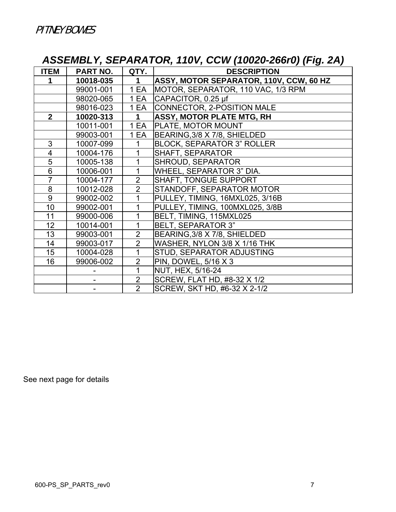## *ASSEMBLY, SEPARATOR, 110V, CCW (10020-266r0) (Fig. 2A)*

| <b>ITEM</b>    | <b>PART NO.</b> | QTY.           | $\sim$ $\sim$<br>$\tilde{\phantom{a}}$<br><b>DESCRIPTION</b> |
|----------------|-----------------|----------------|--------------------------------------------------------------|
| 1              | 10018-035       | $\mathbf 1$    | ASSY, MOTOR SEPARATOR, 110V, CCW, 60 HZ                      |
|                | 99001-001       | 1 EA           | MOTOR, SEPARATOR, 110 VAC, 1/3 RPM                           |
|                |                 |                |                                                              |
|                | 98020-065       | 1 EA           | $ CAPACITOR, 0.25 \mu f$                                     |
|                | 98016-023       | 1 EA           | CONNECTOR, 2-POSITION MALE                                   |
| 2 <sup>1</sup> | 10020-313       | 1              | <b>ASSY, MOTOR PLATE MTG, RH</b>                             |
|                | 10011-001       | 1 EA           | PLATE, MOTOR MOUNT                                           |
|                | 99003-001       | 1 EA           | BEARING, 3/8 X 7/8, SHIELDED                                 |
| 3              | 10007-099       | 1              | <b>BLOCK, SEPARATOR 3" ROLLER</b>                            |
| 4              | 10004-176       | 1              | <b>SHAFT, SEPARATOR</b>                                      |
| 5              | 10005-138       | 1              | SHROUD, SEPARATOR                                            |
| 6              | 10006-001       | 1              | WHEEL, SEPARATOR 3" DIA.                                     |
| $\overline{7}$ | 10004-177       | $\overline{2}$ | <b>SHAFT, TONGUE SUPPORT</b>                                 |
| 8              | 10012-028       | $\overline{2}$ | STANDOFF, SEPARATOR MOTOR                                    |
| 9              | 99002-002       | 1              | PULLEY, TIMING, 16MXL025, 3/16B                              |
| 10             | 99002-001       | 1              | PULLEY, TIMING, 100MXL025, 3/8B                              |
| 11             | 99000-006       | 1              | BELT, TIMING, 115MXL025                                      |
| 12             | 10014-001       | 1              | <b>BELT, SEPARATOR 3"</b>                                    |
| 13             | 99003-001       | $\overline{2}$ | BEARING, 3/8 X 7/8, SHIELDED                                 |
| 14             | 99003-017       | $\overline{2}$ | WASHER, NYLON 3/8 X 1/16 THK                                 |
| 15             | 10004-028       | 1              | STUD, SEPARATOR ADJUSTING                                    |
| 16             | 99006-002       | $\overline{2}$ | PIN, DOWEL, 5/16 X 3                                         |
|                |                 | 1              | NUT, HEX, 5/16-24                                            |
|                |                 | $\overline{2}$ | SCREW, FLAT HD, #8-32 X 1/2                                  |
|                |                 | $\overline{2}$ | SCREW, SKT HD, #6-32 X 2-1/2                                 |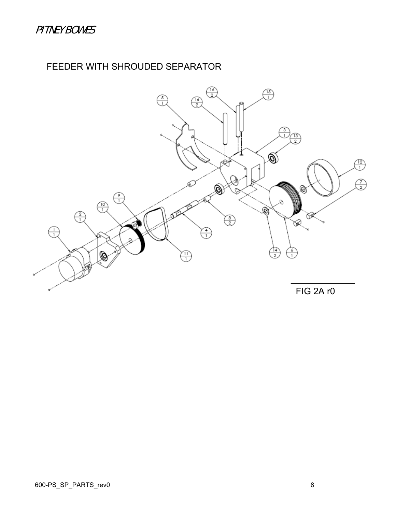## FEEDER WITH SHROUDED SEPARATOR

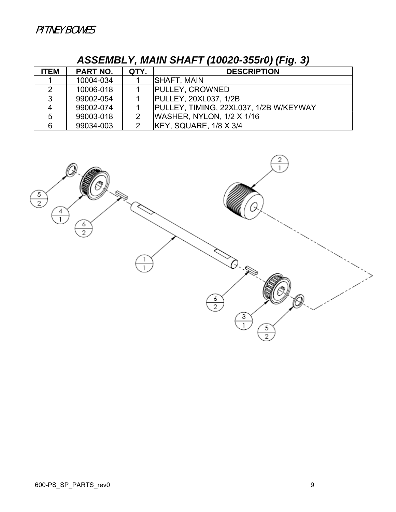| <b>ITEM</b> | PART NO.  | QTY. | <b>DESCRIPTION</b>                     |
|-------------|-----------|------|----------------------------------------|
|             | 10004-034 |      | <b>SHAFT, MAIN</b>                     |
|             | 10006-018 |      | <b>PULLEY, CROWNED</b>                 |
|             | 99002-054 |      | <b>PULLEY, 20XL037, 1/2B</b>           |
|             | 99002-074 |      | PULLEY, TIMING, 22XL037, 1/2B W/KEYWAY |
|             | 99003-018 |      | WASHER, NYLON, 1/2 X 1/16              |
| հ           | 99034-003 |      | KEY, SQUARE, 1/8 X 3/4                 |

## *ASSEMBLY, MAIN SHAFT (10020-355r0) (Fig. 3)*

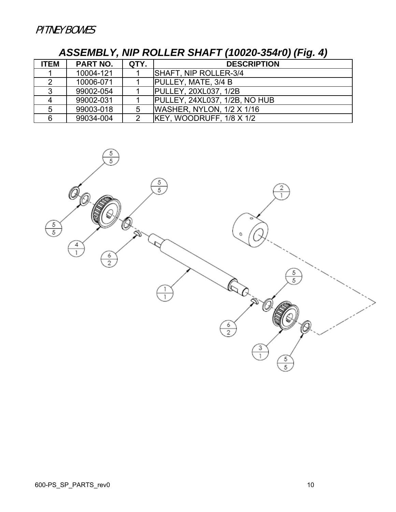### *ASSEMBLY, NIP ROLLER SHAFT (10020-354r0) (Fig. 4)*

| <b>ITEM</b> | <b>PART NO.</b> | QTY. | <b>DESCRIPTION</b>               |
|-------------|-----------------|------|----------------------------------|
|             | 10004-121       |      | SHAFT, NIP ROLLER-3/4            |
|             | 10006-071       |      | PULLEY, MATE, 3/4 B              |
|             | 99002-054       |      | <b>PULLEY, 20XL037, 1/2B</b>     |
|             | 99002-031       |      | PULLEY, 24XL037, 1/2B, NO HUB    |
|             | 99003-018       | 5    | <b>WASHER, NYLON, 1/2 X 1/16</b> |
| 6.          | 99034-004       | 2    | KEY, WOODRUFF, 1/8 X 1/2         |

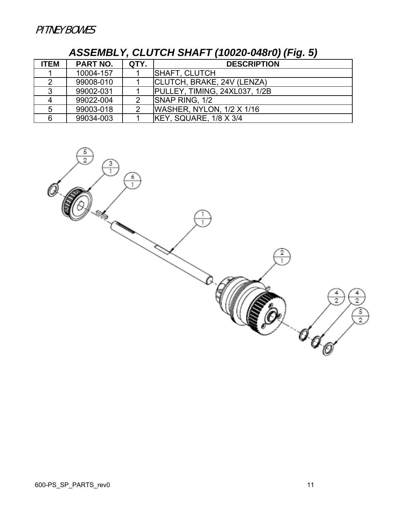## *ASSEMBLY, CLUTCH SHAFT (10020-048r0) (Fig. 5)*

| <b>ITEM</b> | <b>PART NO.</b> | QTY. | <b>DESCRIPTION</b>               |
|-------------|-----------------|------|----------------------------------|
|             | 10004-157       |      | <b>SHAFT, CLUTCH</b>             |
|             | 99008-010       |      | CLUTCH, BRAKE, 24V (LENZA)       |
|             | 99002-031       |      | PULLEY, TIMING, 24XL037, 1/2B    |
|             | 99022-004       |      | SNAP RING, 1/2                   |
| 5           | 99003-018       |      | <b>WASHER, NYLON, 1/2 X 1/16</b> |
|             | 99034-003       |      | KEY, SQUARE, 1/8 X 3/4           |

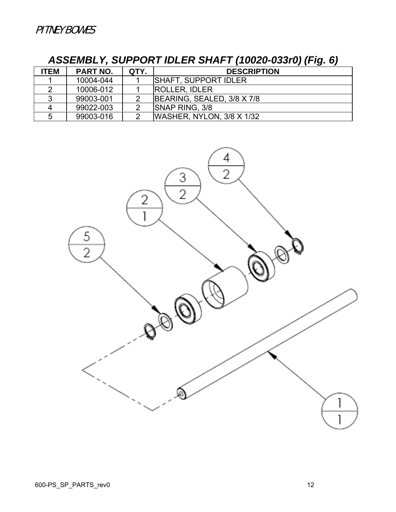| <b>ITEM</b> | <b>PART NO.</b> | QTY. | <b>DESCRIPTION</b>           |
|-------------|-----------------|------|------------------------------|
|             | 10004-044       |      | <b>ISHAFT, SUPPORT IDLER</b> |
|             | 10006-012       |      | <b>ROLLER, IDLER</b>         |
|             | 99003-001       |      | BEARING, SEALED, 3/8 X 7/8   |
|             | 99022-003       |      | <b>SNAP RING, 3/8</b>        |
| 5           | 99003-016       |      | WASHER, NYLON, 3/8 X 1/32    |

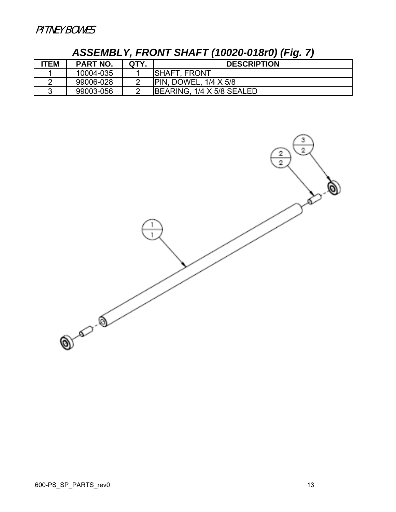## *ASSEMBLY, FRONT SHAFT (10020-018r0) (Fig. 7)*

| <b>ITEM</b> | <b>PART NO.</b> | QTY. | <b>DESCRIPTION</b>           |
|-------------|-----------------|------|------------------------------|
|             | 10004-035       |      | <b>SHAFT, FRONT</b>          |
|             | 99006-028       |      | <b>PIN, DOWEL, 1/4 X 5/8</b> |
|             | 99003-056       |      | BEARING, 1/4 X 5/8 SEALED    |

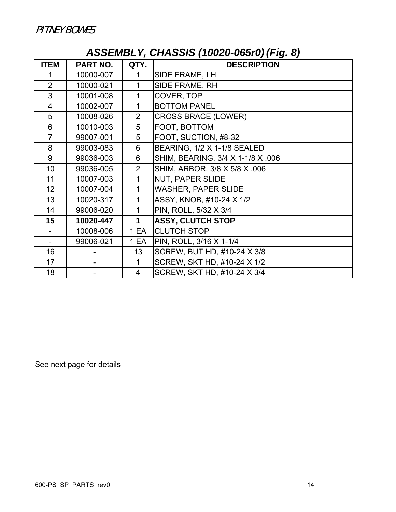## *ASSEMBLY, CHASSIS (10020-065r0) (Fig. 8)*

| <b>ITEM</b>    | <b>PART NO.</b> | QTY.           | $\sqrt{ }$<br><b>DESCRIPTION</b>  |
|----------------|-----------------|----------------|-----------------------------------|
|                | 10000-007       |                | SIDE FRAME, LH                    |
| $\overline{2}$ | 10000-021       | 1              | SIDE FRAME, RH                    |
| 3              | 10001-008       | 1              | COVER, TOP                        |
| 4              | 10002-007       | 1              | <b>BOTTOM PANEL</b>               |
| 5              | 10008-026       | $\overline{2}$ | <b>CROSS BRACE (LOWER)</b>        |
| 6              | 10010-003       | 5              | FOOT, BOTTOM                      |
| $\overline{7}$ | 99007-001       | 5              | FOOT, SUCTION, #8-32              |
| 8              | 99003-083       | 6              | BEARING, 1/2 X 1-1/8 SEALED       |
| 9              | 99036-003       | 6              | SHIM, BEARING, 3/4 X 1-1/8 X .006 |
| 10             | 99036-005       | $\overline{2}$ | SHIM, ARBOR, 3/8 X 5/8 X .006     |
| 11             | 10007-003       | 1              | NUT, PAPER SLIDE                  |
| 12             | 10007-004       | 1              | <b>WASHER, PAPER SLIDE</b>        |
| 13             | 10020-317       | 1              | ASSY, KNOB, #10-24 X 1/2          |
| 14             | 99006-020       | 1              | PIN, ROLL, 5/32 X 3/4             |
| 15             | 10020-447       | 1              | <b>ASSY, CLUTCH STOP</b>          |
|                | 10008-006       | 1 EA           | <b>CLUTCH STOP</b>                |
|                | 99006-021       | 1 EA           | PIN, ROLL, 3/16 X 1-1/4           |
| 16             |                 | 13             | SCREW, BUT HD, #10-24 X 3/8       |
| 17             |                 | 1              | SCREW, SKT HD, #10-24 X 1/2       |
| 18             |                 | 4              | SCREW, SKT HD, #10-24 X 3/4       |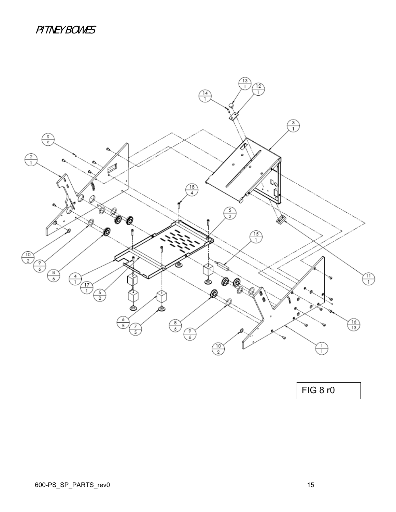### PITNEY BOWES



FIG 8 r0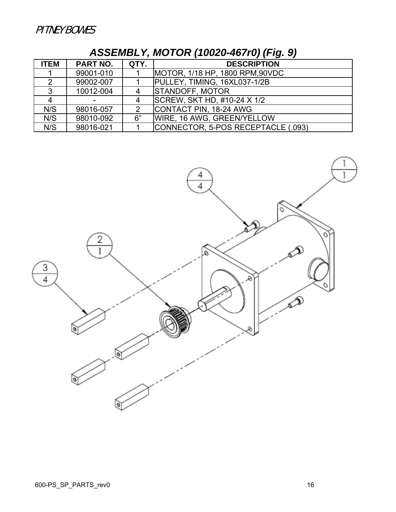| <b>ITEM</b> | <b>PART NO.</b> | QTY. | <b>DESCRIPTION</b>                 |
|-------------|-----------------|------|------------------------------------|
|             | 99001-010       |      | MOTOR, 1/18 HP, 1800 RPM, 90VDC    |
|             | 99002-007       |      | PULLEY, TIMING, 16XL037-1/2B       |
| 3           | 10012-004       |      | <b>STANDOFF, MOTOR</b>             |
|             |                 |      | SCREW, SKT HD, #10-24 X 1/2        |
| N/S         | 98016-057       | 2    | CONTACT PIN, 18-24 AWG             |
| N/S         | 98010-092       | 6"   | WIRE, 16 AWG, GREEN/YELLOW         |
| N/S         | 98016-021       |      | CONNECTOR, 5-POS RECEPTACLE (.093) |

# *ASSEMBLY, MOTOR (10020-467r0) (Fig. 9)*

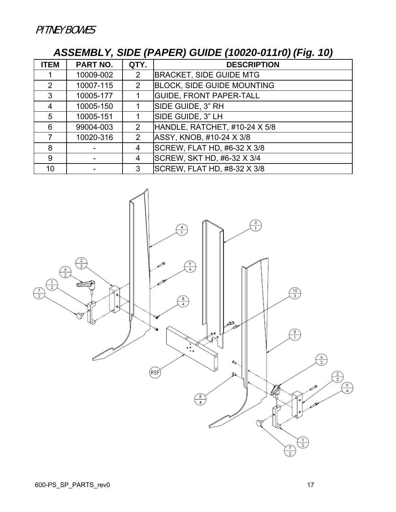## *ASSEMBLY, SIDE (PAPER) GUIDE (10020-011r0) (Fig. 10)*

| <b>ITEM</b>    | <b>PART NO.</b> | QTY.           | <b>DESCRIPTION</b>                |
|----------------|-----------------|----------------|-----------------------------------|
|                | 10009-002       | 2              | <b>BRACKET, SIDE GUIDE MTG</b>    |
| $\overline{2}$ | 10007-115       | $\overline{2}$ | <b>BLOCK, SIDE GUIDE MOUNTING</b> |
| 3              | 10005-177       |                | <b>GUIDE, FRONT PAPER-TALL</b>    |
| 4              | 10005-150       |                | SIDE GUIDE, 3" RH                 |
| 5              | 10005-151       |                | SIDE GUIDE, 3" LH                 |
| 6              | 99004-003       | 2              | HANDLE, RATCHET, #10-24 X 5/8     |
|                | 10020-316       | 2              | ASSY, KNOB, #10-24 X 3/8          |
| 8              |                 | 4              | SCREW, FLAT HD, #6-32 X 3/8       |
| 9              |                 | 4              | SCREW, SKT HD, #6-32 X 3/4        |
| 10             |                 | 3              | SCREW, FLAT HD, #8-32 X 3/8       |

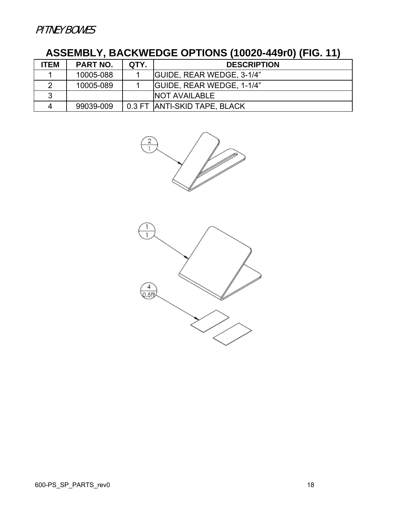# **ASSEMBLY, BACKWEDGE OPTIONS (10020-449r0) (FIG. 11)**

| <b>ITEM</b> | <b>PART NO.</b> | QTY. | <b>DESCRIPTION</b>               |
|-------------|-----------------|------|----------------------------------|
|             | 10005-088       |      | <b>GUIDE, REAR WEDGE, 3-1/4"</b> |
|             | 10005-089       |      | <b>GUIDE, REAR WEDGE, 1-1/4"</b> |
| 2           |                 |      | <b>INOT AVAILABLE</b>            |
|             | 99039-009       |      | 0.3 FT ANTI-SKID TAPE, BLACK     |

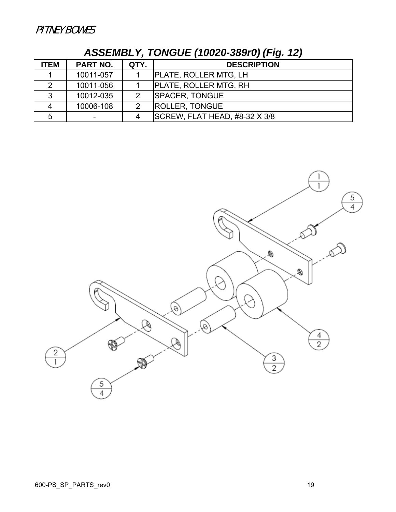| <b>ITEM</b> | PART NO.  | QTY. | <b>DESCRIPTION</b>            |
|-------------|-----------|------|-------------------------------|
|             | 10011-057 |      | <b>PLATE, ROLLER MTG, LH</b>  |
|             | 10011-056 |      | <b>PLATE, ROLLER MTG, RH</b>  |
| ર           | 10012-035 | 2    | <b>SPACER, TONGUE</b>         |
|             | 10006-108 | ⌒    | <b>ROLLER, TONGUE</b>         |
| 5           |           | 4    | SCREW, FLAT HEAD, #8-32 X 3/8 |

*ASSEMBLY, TONGUE (10020-389r0) (Fig. 12)*

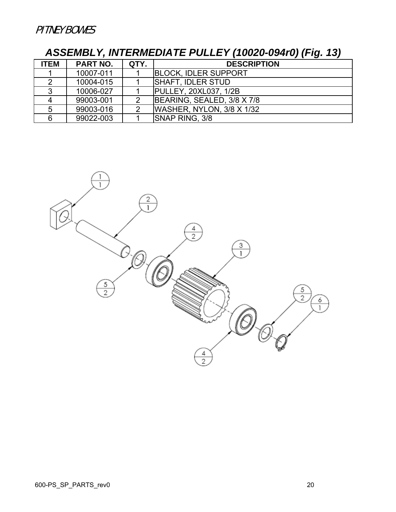# *ASSEMBLY, INTERMEDIATE PULLEY (10020-094r0) (Fig. 13)*

| <b>ITEM</b> | <b>PART NO.</b> | QTY. | <b>DESCRIPTION</b>           |
|-------------|-----------------|------|------------------------------|
|             | 10007-011       |      | <b>BLOCK, IDLER SUPPORT</b>  |
|             | 10004-015       |      | <b>SHAFT, IDLER STUD</b>     |
|             | 10006-027       |      | <b>PULLEY, 20XL037, 1/2B</b> |
|             | 99003-001       | っ    | BEARING, SEALED, 3/8 X 7/8   |
|             | 99003-016       |      | WASHER, NYLON, 3/8 X 1/32    |
|             | 99022-003       |      | <b>SNAP RING, 3/8</b>        |

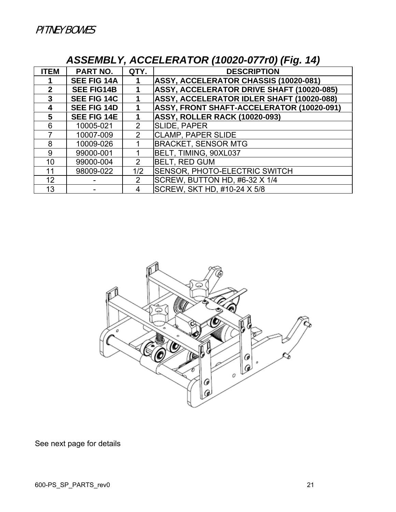## *ASSEMBLY, ACCELERATOR (10020-077r0) (Fig. 14)*

| <b>ITEM</b>  | <b>PART NO.</b>    | QTY.           | <b>DESCRIPTION</b>                        |
|--------------|--------------------|----------------|-------------------------------------------|
|              | <b>SEE FIG 14A</b> |                | ASSY, ACCELERATOR CHASSIS (10020-081)     |
| $\mathbf{2}$ | <b>SEE FIG14B</b>  |                | ASSY, ACCELERATOR DRIVE SHAFT (10020-085) |
| 3            | <b>SEE FIG 14C</b> |                | ASSY, ACCELERATOR IDLER SHAFT (10020-088) |
| 4            | <b>SEE FIG 14D</b> |                | ASSY, FRONT SHAFT-ACCELERATOR (10020-091) |
| 5            | <b>SEE FIG 14E</b> |                | <b>ASSY, ROLLER RACK (10020-093)</b>      |
| 6            | 10005-021          | 2              | SLIDE, PAPER                              |
|              | 10007-009          | $\overline{2}$ | <b>CLAMP, PAPER SLIDE</b>                 |
| 8            | 10009-026          |                | <b>BRACKET, SENSOR MTG</b>                |
| 9            | 99000-001          |                | BELT, TIMING, 90XL037                     |
| 10           | 99000-004          | 2              | <b>BELT, RED GUM</b>                      |
| 11           | 98009-022          | 1/2            | <b>SENSOR, PHOTO-ELECTRIC SWITCH</b>      |
| 12           |                    | 2              | SCREW, BUTTON HD, #6-32 X 1/4             |
| 13           |                    | 4              | SCREW, SKT HD, #10-24 X 5/8               |

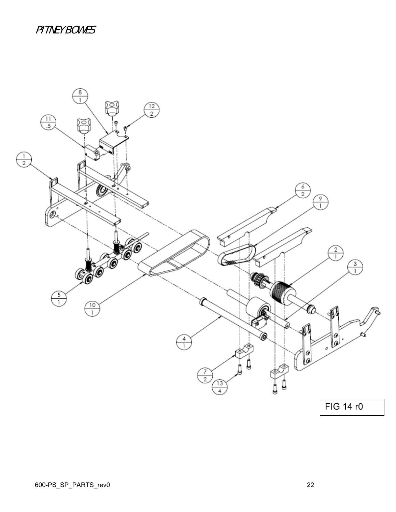#### PITNEY BOWES

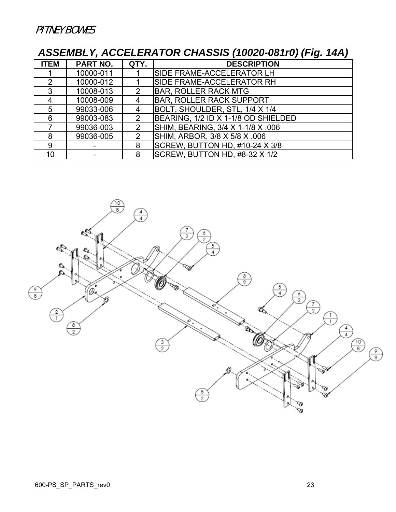# *ASSEMBLY, ACCELERATOR CHASSIS (10020-081r0) (Fig. 14A)*

| <b>ITEM</b>        | PART NO.  | QTY.          | <b>DESCRIPTION</b>                  |
|--------------------|-----------|---------------|-------------------------------------|
|                    | 10000-011 |               | SIDE FRAME-ACCELERATOR LH           |
| 2                  | 10000-012 |               | SIDE FRAME-ACCELERATOR RH           |
| 3                  | 10008-013 |               | <b>BAR, ROLLER RACK MTG</b>         |
| $\mathbf{\Lambda}$ | 10008-009 | 4             | <b>BAR, ROLLER RACK SUPPORT</b>     |
| 5                  | 99033-006 | 4             | BOLT, SHOULDER, STL, 1/4 X 1/4      |
| 6                  | 99003-083 | 2             | BEARING, 1/2 ID X 1-1/8 OD SHIELDED |
|                    | 99036-003 | $\mathcal{P}$ | SHIM, BEARING, 3/4 X 1-1/8 X .006   |
| 8                  | 99036-005 | $\mathcal{P}$ | SHIM, ARBOR, 3/8 X 5/8 X .006       |
| 9                  |           | 8             | SCREW, BUTTON HD, #10-24 X 3/8      |
| 10                 |           | 8             | SCREW, BUTTON HD, #8-32 X 1/2       |

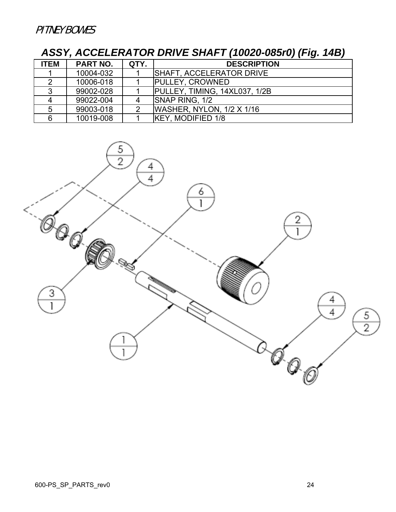## *ASSY, ACCELERATOR DRIVE SHAFT (10020-085r0) (Fig. 14B)*

| <b>ITEM</b> | PART NO.  | QTY. | <b>DESCRIPTION</b>               |
|-------------|-----------|------|----------------------------------|
|             | 10004-032 |      | <b>ISHAFT, ACCELERATOR DRIVE</b> |
|             | 10006-018 |      | <b>PULLEY, CROWNED</b>           |
|             | 99002-028 |      | PULLEY, TIMING, 14XL037, 1/2B    |
|             | 99022-004 |      | <b>SNAP RING, 1/2</b>            |
|             | 99003-018 |      | WASHER, NYLON, 1/2 X 1/16        |
|             | 10019-008 |      | KEY, MODIFIED 1/8                |

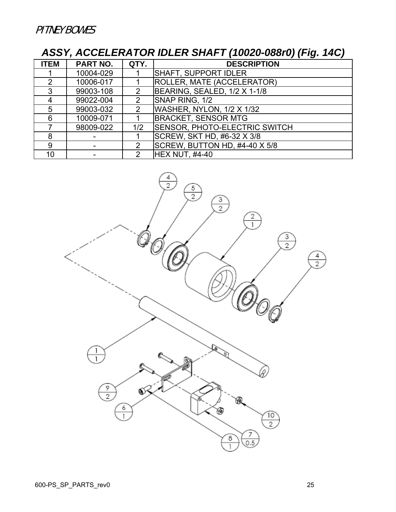## *ASSY, ACCELERATOR IDLER SHAFT (10020-088r0) (Fig. 14C)*

| <b>ITEM</b>   | <b>PART NO.</b> | QTY.          | <b>DESCRIPTION</b>                   |
|---------------|-----------------|---------------|--------------------------------------|
|               | 10004-029       |               | SHAFT, SUPPORT IDLER                 |
| $\mathcal{P}$ | 10006-017       |               | <b>ROLLER, MATE (ACCELERATOR)</b>    |
| 3             | 99003-108       |               | BEARING, SEALED, 1/2 X 1-1/8         |
|               | 99022-004       | 2             | SNAP RING, 1/2                       |
| 5             | 99003-032       | $\mathcal{P}$ | WASHER, NYLON, 1/2 X 1/32            |
| 6             | 10009-071       |               | <b>BRACKET, SENSOR MTG</b>           |
|               | 98009-022       | 1/2           | <b>SENSOR, PHOTO-ELECTRIC SWITCH</b> |
| 8             |                 |               | SCREW, SKT HD, #6-32 X 3/8           |
| 9             |                 | 2             | SCREW, BUTTON HD, #4-40 X 5/8        |
| 10            |                 |               | <b>HEX NUT, #4-40</b>                |

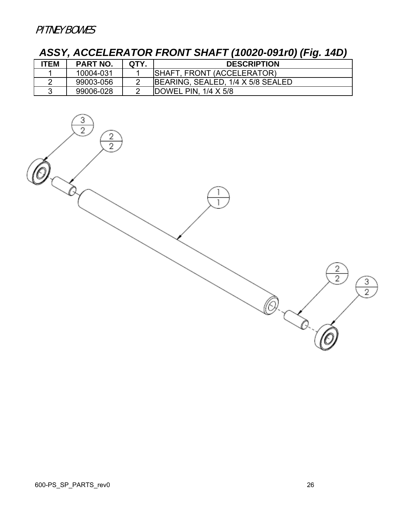## *ASSY, ACCELERATOR FRONT SHAFT (10020-091r0) (Fig. 14D)*

| <b>ITEM</b> | <b>PART NO.</b> | QTY. | <b>DESCRIPTION</b>                |
|-------------|-----------------|------|-----------------------------------|
|             | 10004-031       |      | SHAFT, FRONT (ACCELERATOR)        |
|             | 99003-056       |      | BEARING, SEALED, 1/4 X 5/8 SEALED |
|             | 99006-028       |      | DOWEL PIN, $1/4 \times 5/8$       |

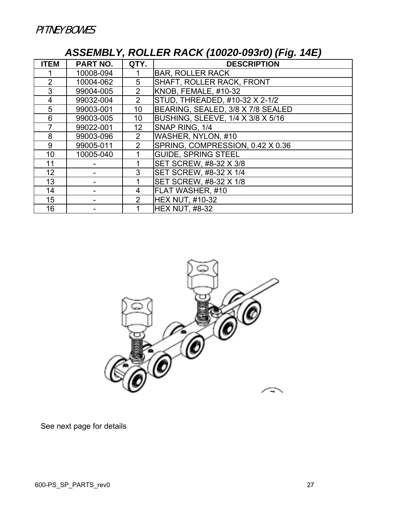## *ASSEMBLY, ROLLER RACK (10020-093r0) (Fig. 14E)*

| <b>ITEM</b> | <b>PART NO.</b> | QTY.            | <b>DESCRIPTION</b>                       |
|-------------|-----------------|-----------------|------------------------------------------|
|             | 10008-094       |                 | <b>BAR, ROLLER RACK</b>                  |
| 2           | 10004-062       | 5               | SHAFT, ROLLER RACK, FRONT                |
| 3           | 99004-005       | $\overline{2}$  | KNOB, FEMALE, #10-32                     |
| 4           | 99032-004       | $\overline{2}$  | STUD, THREADED, #10-32 X 2-1/2           |
| 5           | 99003-001       | 10              | BEARING, SEALED, 3/8 X 7/8 SEALED        |
| 6           | 99003-005       | 10              | <b>BUSHING, SLEEVE, 1/4 X 3/8 X 5/16</b> |
|             | 99022-001       | 12 <sub>2</sub> | SNAP RING, 1/4                           |
| 8           | 99003-096       | 2               | WASHER, NYLON, #10                       |
| 9           | 99005-011       | $\overline{2}$  | SPRING, COMPRESSION, 0.42 X 0.36         |
| 10          | 10005-040       |                 | <b>GUIDE, SPRING STEEL</b>               |
| 11          |                 |                 | SET SCREW, #8-32 X 3/8                   |
| 12          |                 | 3               | SET SCREW, #8-32 X 1/4                   |
| 13          |                 |                 | SET SCREW, #8-32 X 1/8                   |
| 14          |                 | 4               | FLAT WASHER, #10                         |
| 15          |                 | $\overline{2}$  | <b>HEX NUT, #10-32</b>                   |
| 16          |                 |                 | <b>HEX NUT, #8-32</b>                    |

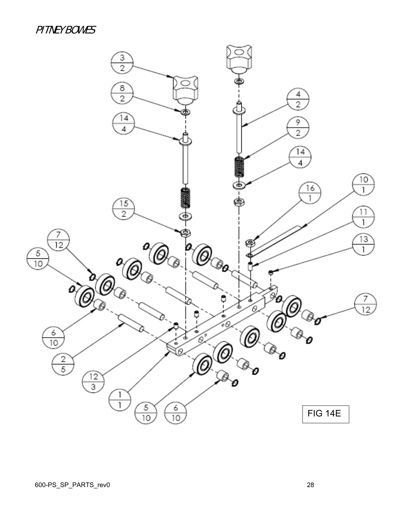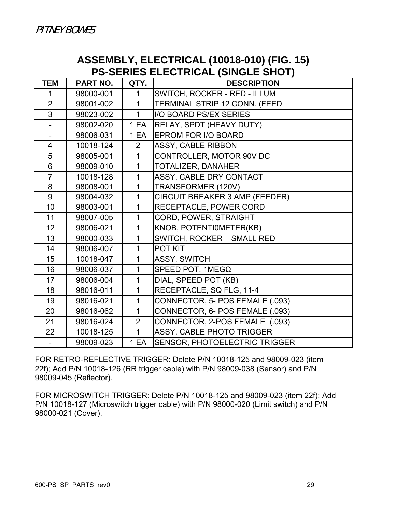#### **ASSEMBLY, ELECTRICAL (10018-010) (FIG. 15) PS-SERIES ELECTRICAL (SINGLE SHOT)**

| <b>TEM</b>               | <b>PART NO.</b> | QTY.           | <b>DESCRIPTION</b>              |
|--------------------------|-----------------|----------------|---------------------------------|
| 1                        | 98000-001       | 1              | SWITCH, ROCKER - RED - ILLUM    |
| $\overline{2}$           | 98001-002       | 1              | TERMINAL STRIP 12 CONN. (FEED   |
| 3                        | 98023-002       | $\mathbf{1}$   | <b>I/O BOARD PS/EX SERIES</b>   |
|                          | 98002-020       | 1 EA           | RELAY, SPDT (HEAVY DUTY)        |
|                          | 98006-031       | 1 EA           | EPROM FOR I/O BOARD             |
| $\overline{4}$           | 10018-124       | $\overline{2}$ | ASSY, CABLE RIBBON              |
| 5                        | 98005-001       | $\mathbf{1}$   | CONTROLLER, MOTOR 90V DC        |
| 6                        | 98009-010       | $\mathbf{1}$   | TOTALIZER, DANAHER              |
| $\overline{7}$           | 10018-128       | $\mathbf{1}$   | ASSY, CABLE DRY CONTACT         |
| 8                        | 98008-001       | 1              | TRANSFORMER (120V)              |
| 9                        | 98004-032       | 1              | CIRCUIT BREAKER 3 AMP (FEEDER)  |
| 10                       | 98003-001       | 1              | RECEPTACLE, POWER CORD          |
| 11                       | 98007-005       | $\mathbf{1}$   | CORD, POWER, STRAIGHT           |
| 12                       | 98006-021       | 1              | KNOB, POTENTIOMETER(KB)         |
| 13                       | 98000-033       | $\mathbf{1}$   | SWITCH, ROCKER - SMALL RED      |
| 14                       | 98006-007       | 1              | POT KIT                         |
| 15                       | 10018-047       | 1              | ASSY, SWITCH                    |
| 16                       | 98006-037       | 1              | SPEED POT, 1ΜEGΩ                |
| 17                       | 98006-004       | 1              | DIAL, SPEED POT (KB)            |
| 18                       | 98016-011       | 1              | RECEPTACLE, SQ FLG, 11-4        |
| 19                       | 98016-021       | 1              | CONNECTOR, 5- POS FEMALE (.093) |
| 20                       | 98016-062       | $\mathbf{1}$   | CONNECTOR, 6- POS FEMALE (.093) |
| 21                       | 98016-024       | $\overline{2}$ | CONNECTOR, 2-POS FEMALE (.093)  |
| 22                       | 10018-125       | $\mathbf{1}$   | ASSY, CABLE PHOTO TRIGGER       |
| $\overline{\phantom{0}}$ | 98009-023       | 1 EA           | SENSOR, PHOTOELECTRIC TRIGGER   |

FOR RETRO-REFLECTIVE TRIGGER: Delete P/N 10018-125 and 98009-023 (item 22f); Add P/N 10018-126 (RR trigger cable) with P/N 98009-038 (Sensor) and P/N 98009-045 (Reflector).

FOR MICROSWITCH TRIGGER: Delete P/N 10018-125 and 98009-023 (item 22f); Add P/N 10018-127 (Microswitch trigger cable) with P/N 98000-020 (Limit switch) and P/N 98000-021 (Cover).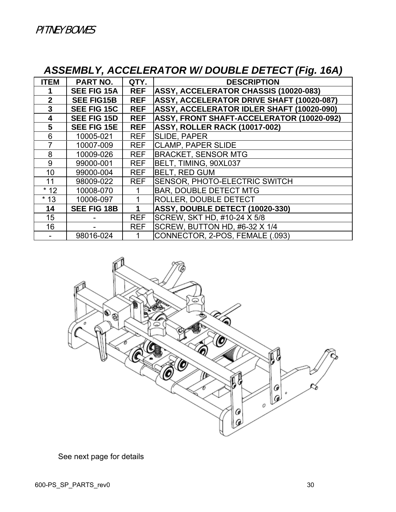## *ASSEMBLY, ACCELERATOR W/ DOUBLE DETECT (Fig. 16A)*

| <b>ITEM</b>  | <b>PART NO.</b>    | QTY.       | <b>DESCRIPTION</b>                               |
|--------------|--------------------|------------|--------------------------------------------------|
|              | <b>SEE FIG 15A</b> | <b>REF</b> | <b>ASSY, ACCELERATOR CHASSIS (10020-083)</b>     |
| $\mathbf{2}$ | <b>SEE FIG15B</b>  | <b>REF</b> | <b>ASSY, ACCELERATOR DRIVE SHAFT (10020-087)</b> |
| 3            | <b>SEE FIG 15C</b> | <b>REF</b> | <b>ASSY, ACCELERATOR IDLER SHAFT (10020-090)</b> |
| 4            | <b>SEE FIG 15D</b> | <b>REF</b> | <b>ASSY, FRONT SHAFT-ACCELERATOR (10020-092)</b> |
| 5            | <b>SEE FIG 15E</b> | <b>REF</b> | <b>ASSY, ROLLER RACK (10017-002)</b>             |
| 6            | 10005-021          | <b>REF</b> | <b>SLIDE, PAPER</b>                              |
| 7            | 10007-009          | <b>REF</b> | <b>CLAMP, PAPER SLIDE</b>                        |
| 8            | 10009-026          | <b>REF</b> | <b>BRACKET, SENSOR MTG</b>                       |
| 9            | 99000-001          | <b>REF</b> | BELT, TIMING, 90XL037                            |
| 10           | 99000-004          | <b>REF</b> | <b>BELT, RED GUM</b>                             |
| 11           | 98009-022          | <b>REF</b> | <b>SENSOR, PHOTO-ELECTRIC SWITCH</b>             |
| $*12$        | 10008-070          |            | <b>BAR, DOUBLE DETECT MTG</b>                    |
| $*13$        | 10006-097          |            | <b>ROLLER, DOUBLE DETECT</b>                     |
| 14           | <b>SEE FIG 18B</b> |            | ASSY, DOUBLE DETECT (10020-330)                  |
| 15           |                    | <b>REF</b> | SCREW, SKT HD, #10-24 X 5/8                      |
| 16           |                    | <b>REF</b> | SCREW, BUTTON HD, #6-32 X 1/4                    |
|              | 98016-024          |            | CONNECTOR, 2-POS, FEMALE (.093)                  |

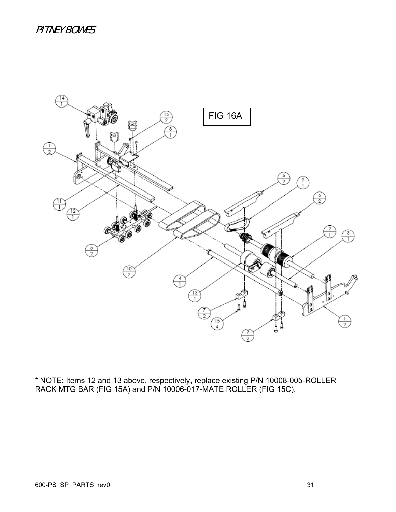

\* NOTE: Items 12 and 13 above, respectively, replace existing P/N 10008-005-ROLLER RACK MTG BAR (FIG 15A) and P/N 10006-017-MATE ROLLER (FIG 15C).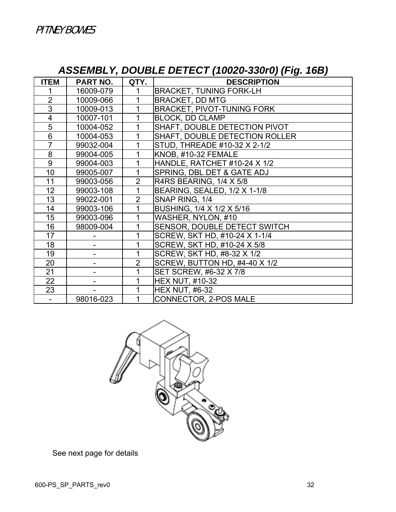## *ASSEMBLY, DOUBLE DETECT (10020-330r0) (Fig. 16B)*

| <b>ITEM</b>             | <b>PART NO.</b> | QTY.           | <b>DESCRIPTION</b>                |
|-------------------------|-----------------|----------------|-----------------------------------|
|                         | 16009-079       | 1              | <b>BRACKET, TUNING FORK-LH</b>    |
| $\overline{2}$          | 10009-066       | 1              | <b>BRACKET, DD MTG</b>            |
| $\overline{3}$          | 10009-013       | 1              | <b>BRACKET, PIVOT-TUNING FORK</b> |
| $\overline{\mathbf{4}}$ | 10007-101       | 1              | <b>BLOCK, DD CLAMP</b>            |
| 5                       | 10004-052       | 1              | SHAFT, DOUBLE DETECTION PIVOT     |
| 6                       | 10004-053       | 1              | SHAFT, DOUBLE DETECTION ROLLER    |
| $\overline{7}$          | 99032-004       | 1              | STUD, THREADE #10-32 X 2-1/2      |
| 8                       | 99004-005       | 1              | KNOB, #10-32 FEMALE               |
| 9                       | 99004-003       | 1              | HANDLE, RATCHET #10-24 X 1/2      |
| 10                      | 99005-007       | 1              | SPRING, DBL DET & GATE ADJ        |
| 11                      | 99003-056       | $\overline{2}$ | R4RS BEARING, 1/4 X 5/8           |
| 12                      | 99003-108       | 1              | BEARING, SEALED, 1/2 X 1-1/8      |
| 13                      | 99022-001       | $\overline{2}$ | SNAP RING, 1/4                    |
| 14                      | 99003-106       |                | BUSHING, 1/4 X 1/2 X 5/16         |
| 15                      | 99003-096       |                | WASHER, NYLON, #10                |
| 16                      | 98009-004       |                | SENSOR, DOUBLE DETECT SWITCH      |
| 17                      |                 |                | SCREW, SKT HD, #10-24 X 1-1/4     |
| 18                      |                 |                | SCREW, SKT HD, #10-24 X 5/8       |
| 19                      | -               |                | SCREW, SKT HD, #8-32 X 1/2        |
| 20                      |                 | $\overline{2}$ | SCREW, BUTTON HD, #4-40 X 1/2     |
| 21                      | -               |                | SET SCREW, #6-32 X 7/8            |
| 22                      |                 |                | <b>HEX NUT, #10-32</b>            |
| 23                      |                 |                | <b>HEX NUT, #6-32</b>             |
|                         | 98016-023       |                | CONNECTOR, 2-POS MALE             |

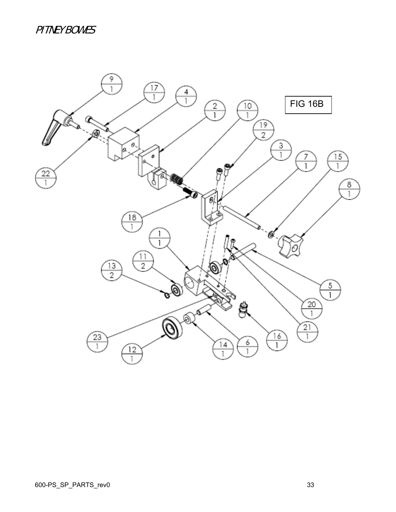